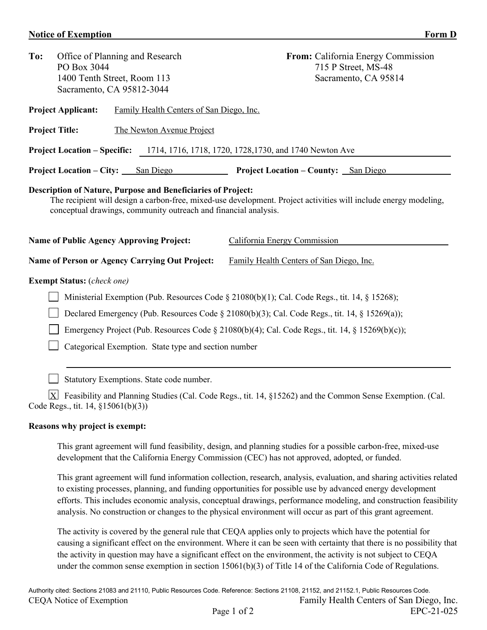## **Notice of Exemption** Form D

| To:                                                                                                                                                                                                                                                 | PO Box 3044                                                                     | Office of Planning and Research<br>1400 Tenth Street, Room 113 |                                                       |                                          | From: California Energy Commission<br>715 P Street, MS-48<br>Sacramento, CA 95814                         |  |  |  |  |  |
|-----------------------------------------------------------------------------------------------------------------------------------------------------------------------------------------------------------------------------------------------------|---------------------------------------------------------------------------------|----------------------------------------------------------------|-------------------------------------------------------|------------------------------------------|-----------------------------------------------------------------------------------------------------------|--|--|--|--|--|
|                                                                                                                                                                                                                                                     | Sacramento, CA 95812-3044                                                       |                                                                |                                                       |                                          |                                                                                                           |  |  |  |  |  |
|                                                                                                                                                                                                                                                     | <b>Project Applicant:</b>                                                       |                                                                | Family Health Centers of San Diego, Inc.              |                                          |                                                                                                           |  |  |  |  |  |
|                                                                                                                                                                                                                                                     | <b>Project Title:</b>                                                           |                                                                | The Newton Avenue Project                             |                                          |                                                                                                           |  |  |  |  |  |
| <b>Project Location – Specific:</b><br>1714, 1716, 1718, 1720, 1728, 1730, and 1740 Newton Ave                                                                                                                                                      |                                                                                 |                                                                |                                                       |                                          |                                                                                                           |  |  |  |  |  |
|                                                                                                                                                                                                                                                     | <b>Project Location – City:</b>                                                 |                                                                | San Diego                                             |                                          | <b>Project Location – County:</b> San Diego                                                               |  |  |  |  |  |
| Description of Nature, Purpose and Beneficiaries of Project:<br>The recipient will design a carbon-free, mixed-use development. Project activities will include energy modeling,<br>conceptual drawings, community outreach and financial analysis. |                                                                                 |                                                                |                                                       |                                          |                                                                                                           |  |  |  |  |  |
|                                                                                                                                                                                                                                                     | <b>Name of Public Agency Approving Project:</b><br>California Energy Commission |                                                                |                                                       |                                          |                                                                                                           |  |  |  |  |  |
|                                                                                                                                                                                                                                                     |                                                                                 |                                                                | <b>Name of Person or Agency Carrying Out Project:</b> | Family Health Centers of San Diego, Inc. |                                                                                                           |  |  |  |  |  |
|                                                                                                                                                                                                                                                     | <b>Exempt Status:</b> (check one)                                               |                                                                |                                                       |                                          |                                                                                                           |  |  |  |  |  |
| Ministerial Exemption (Pub. Resources Code $\S$ 21080(b)(1); Cal. Code Regs., tit. 14, $\S$ 15268);                                                                                                                                                 |                                                                                 |                                                                |                                                       |                                          |                                                                                                           |  |  |  |  |  |
|                                                                                                                                                                                                                                                     |                                                                                 |                                                                |                                                       |                                          | Declared Emergency (Pub. Resources Code § 21080(b)(3); Cal. Code Regs., tit. 14, § 15269(a));             |  |  |  |  |  |
| Emergency Project (Pub. Resources Code § 21080(b)(4); Cal. Code Regs., tit. 14, § 15269(b)(c));                                                                                                                                                     |                                                                                 |                                                                |                                                       |                                          |                                                                                                           |  |  |  |  |  |
|                                                                                                                                                                                                                                                     |                                                                                 |                                                                | Categorical Exemption. State type and section number  |                                          |                                                                                                           |  |  |  |  |  |
| Statutory Exemptions. State code number.                                                                                                                                                                                                            |                                                                                 |                                                                |                                                       |                                          |                                                                                                           |  |  |  |  |  |
|                                                                                                                                                                                                                                                     | X <br>Code Regs., tit. 14, §15061(b)(3))                                        |                                                                |                                                       |                                          | Feasibility and Planning Studies (Cal. Code Regs., tit. 14, §15262) and the Common Sense Exemption. (Cal. |  |  |  |  |  |
|                                                                                                                                                                                                                                                     | <b>Reasons why project is exempt:</b>                                           |                                                                |                                                       |                                          |                                                                                                           |  |  |  |  |  |

This grant agreement will fund feasibility, design, and planning studies for a possible carbon-free, mixed-use development that the California Energy Commission (CEC) has not approved, adopted, or funded.

This grant agreement will fund information collection, research, analysis, evaluation, and sharing activities related to existing processes, planning, and funding opportunities for possible use by advanced energy development efforts. This includes economic analysis, conceptual drawings, performance modeling, and construction feasibility analysis. No construction or changes to the physical environment will occur as part of this grant agreement.

The activity is covered by the general rule that CEQA applies only to projects which have the potential for causing a significant effect on the environment. Where it can be seen with certainty that there is no possibility that the activity in question may have a significant effect on the environment, the activity is not subject to CEQA under the common sense exemption in section 15061(b)(3) of Title 14 of the California Code of Regulations.